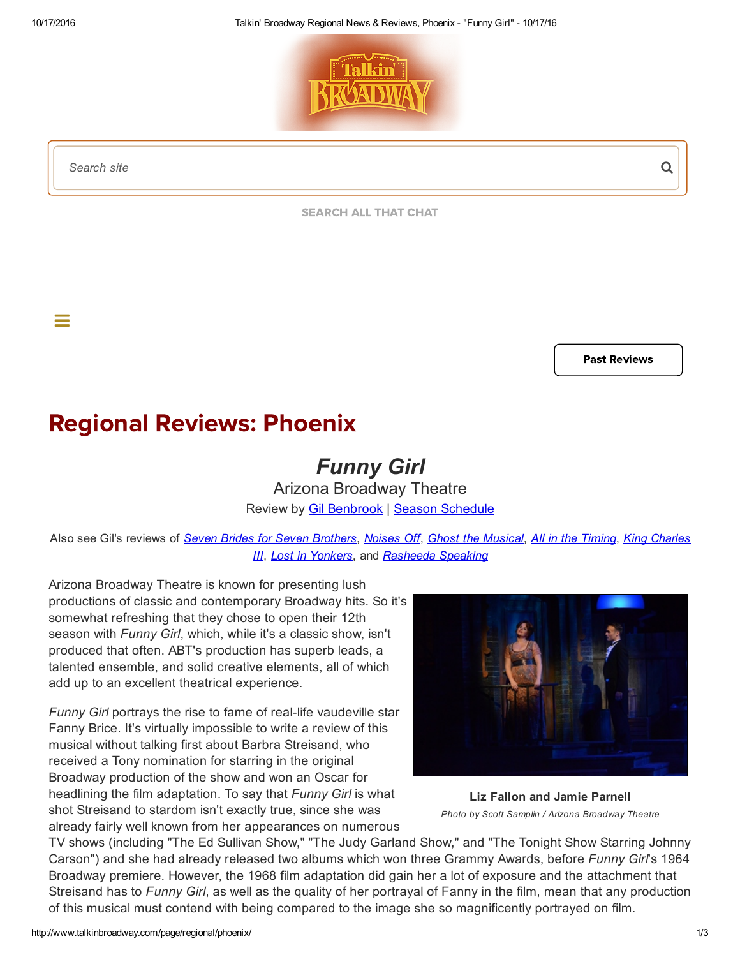

*Search site*

 $\equiv$ 

[SEARCH](http://www.talkinbroadway.com/allthatchat_new/search.php) ALL THAT CHAT

Past [Reviews](http://www.talkinbroadway.com/page/regional/past.html#phoenix)

## Regional Reviews: Phoenix

## *Funny Girl*

Arizona Broadway Theatre Review by **Gil [Benbrook](mailto:gbenbrook@talkinbroadway.com) | Season [Schedule](http://www.talkinbroadway.com/page/regional/phoenix/sched.html)** 

Also see Gil's reviews of Seven Brides for Seven [Brothers](http://www.talkinbroadway.com/page/regional/phoenix/phnx412.html), [Noises](http://www.talkinbroadway.com/page/regional/phoenix/phnx411.html) Off, Ghost the [Musical](http://www.talkinbroadway.com/page/regional/phoenix/phnx410.html), All in the [Timing](http://www.talkinbroadway.com/page/regional/phoenix/phnx409.html), King Charles *III*, *Lost in [Yonkers](http://www.talkinbroadway.com/page/regional/phoenix/phnx407.html)*, and *[Rasheeda](http://www.talkinbroadway.com/page/regional/phoenix/phnx408.html) Speaking*

Arizona Broadway Theatre is known for presenting lush productions of classic and contemporary Broadway hits. So it's somewhat refreshing that they chose to open their 12th season with *Funny Girl*, which, while it's a classic show, isn't produced that often. ABT's production has superb leads, a talented ensemble, and solid creative elements, all of which add up to an excellent theatrical experience.

*Funny Girl* portrays the rise to fame of real-life vaudeville star Fanny Brice. It's virtually impossible to write a review of this musical without talking first about Barbra Streisand, who received a Tony nomination for starring in the original Broadway production of the show and won an Oscar for headlining the film adaptation. To say that *Funny Girl* is what shot Streisand to stardom isn't exactly true, since she was already fairly well known from her appearances on numerous



Liz Fallon and Jamie Parnell *Photo by Scott Samplin / Arizona Broadway Theatre*

TV shows (including "The Ed Sullivan Show," "The Judy Garland Show," and "The Tonight Show Starring Johnny Carson") and she had already released two albums which won three Grammy Awards, before *Funny Girl*'s 1964 Broadway premiere. However, the 1968 film adaptation did gain her a lot of exposure and the attachment that Streisand has to *Funny Girl*, as well as the quality of her portrayal of Fanny in the film, mean that any production of this musical must contend with being compared to the image she so magnificently portrayed on film.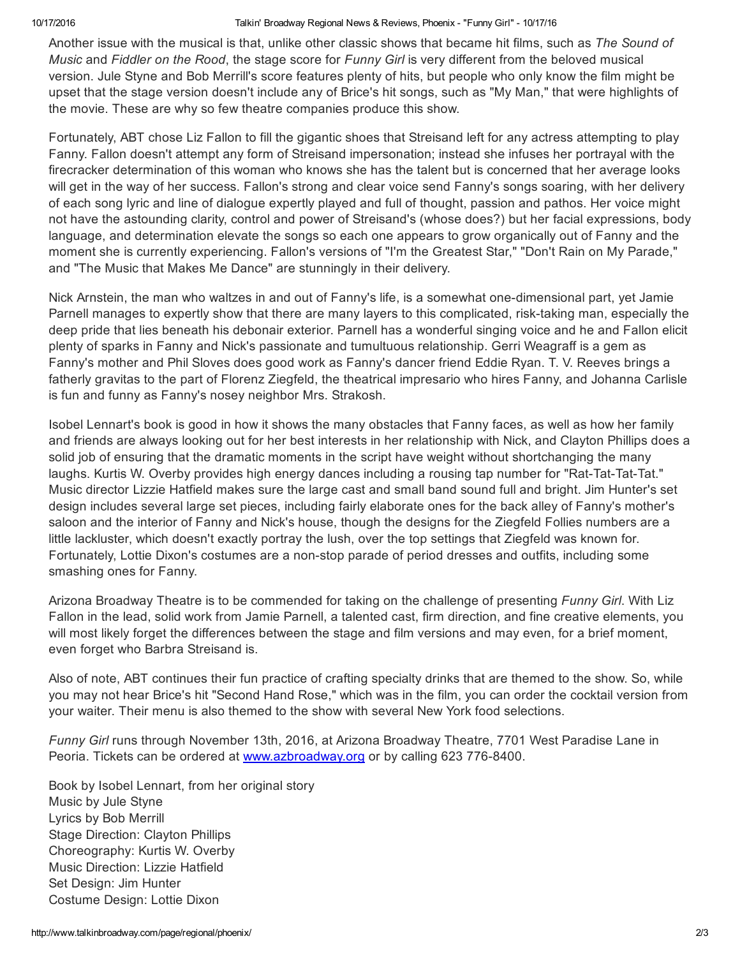## 10/17/2016 Talkin' Broadway Regional News & Reviews, Phoenix "Funny Girl" 10/17/16

Another issue with the musical is that, unlike other classic shows that became hit films, such as *The Sound of Music* and *Fiddler on the Rood*, the stage score for *Funny Girl* is very different from the beloved musical version. Jule Styne and Bob Merrill's score features plenty of hits, but people who only know the film might be upset that the stage version doesn't include any of Brice's hit songs, such as "My Man," that were highlights of the movie. These are why so few theatre companies produce this show.

Fortunately, ABT chose Liz Fallon to fill the gigantic shoes that Streisand left for any actress attempting to play Fanny. Fallon doesn't attempt any form of Streisand impersonation; instead she infuses her portrayal with the firecracker determination of this woman who knows she has the talent but is concerned that her average looks will get in the way of her success. Fallon's strong and clear voice send Fanny's songs soaring, with her delivery of each song lyric and line of dialogue expertly played and full of thought, passion and pathos. Her voice might not have the astounding clarity, control and power of Streisand's (whose does?) but her facial expressions, body language, and determination elevate the songs so each one appears to grow organically out of Fanny and the moment she is currently experiencing. Fallon's versions of "I'm the Greatest Star," "Don't Rain on My Parade," and "The Music that Makes Me Dance" are stunningly in their delivery.

Nick Arnstein, the man who waltzes in and out of Fanny's life, is a somewhat one-dimensional part, yet Jamie Parnell manages to expertly show that there are many layers to this complicated, risk-taking man, especially the deep pride that lies beneath his debonair exterior. Parnell has a wonderful singing voice and he and Fallon elicit plenty of sparks in Fanny and Nick's passionate and tumultuous relationship. Gerri Weagraff is a gem as Fanny's mother and Phil Sloves does good work as Fanny's dancer friend Eddie Ryan. T. V. Reeves brings a fatherly gravitas to the part of Florenz Ziegfeld, the theatrical impresario who hires Fanny, and Johanna Carlisle is fun and funny as Fanny's nosey neighbor Mrs. Strakosh.

Isobel Lennart's book is good in how it shows the many obstacles that Fanny faces, as well as how her family and friends are always looking out for her best interests in her relationship with Nick, and Clayton Phillips does a solid job of ensuring that the dramatic moments in the script have weight without shortchanging the many laughs. Kurtis W. Overby provides high energy dances including a rousing tap number for "Rat-Tat-Tat-Tat." Music director Lizzie Hatfield makes sure the large cast and small band sound full and bright. Jim Hunter's set design includes several large set pieces, including fairly elaborate ones for the back alley of Fanny's mother's saloon and the interior of Fanny and Nick's house, though the designs for the Ziegfeld Follies numbers are a little lackluster, which doesn't exactly portray the lush, over the top settings that Ziegfeld was known for. Fortunately, Lottie Dixon's costumes are a non-stop parade of period dresses and outfits, including some smashing ones for Fanny.

Arizona Broadway Theatre is to be commended for taking on the challenge of presenting *Funny Girl*. With Liz Fallon in the lead, solid work from Jamie Parnell, a talented cast, firm direction, and fine creative elements, you will most likely forget the differences between the stage and film versions and may even, for a brief moment, even forget who Barbra Streisand is.

Also of note, ABT continues their fun practice of crafting specialty drinks that are themed to the show. So, while you may not hear Brice's hit "Second Hand Rose," which was in the film, you can order the cocktail version from your waiter. Their menu is also themed to the show with several New York food selections.

*Funny Girl* runs through November 13th, 2016, at Arizona Broadway Theatre, 7701 West Paradise Lane in Peoria. Tickets can be ordered at [www.azbroadway.org](http://www.azbroadway.org/) or by calling 623 776-8400.

Book by Isobel Lennart, from her original story Music by Jule Styne Lyrics by Bob Merrill Stage Direction: Clayton Phillips Choreography: Kurtis W. Overby Music Direction: Lizzie Hatfield Set Design: Jim Hunter Costume Design: Lottie Dixon